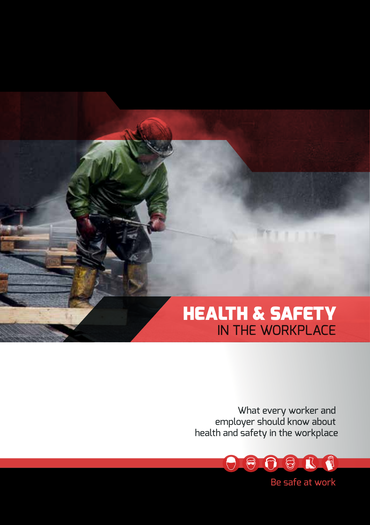# HEALTH & SAFETY IN THE WORKPLACE

What every worker and employer should know about health and safety in the workplace



Be safe at work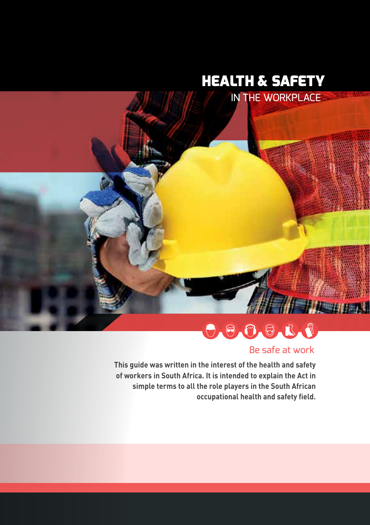# HEALTH & SAFETY



# $\begin{array}{c} \mathbf{0} & \mathbf{0} & \mathbf{0} & \mathbf{0} & \mathbf{0} \\ \mathbf{0} & \mathbf{0} & \mathbf{0} & \mathbf{0} & \mathbf{0} \end{array}$

## Be safe at work

**This guide was written in the interest of the health and safety of workers in South Africa. It is intended to explain the Act in simple terms to all the role players in the South African occupational health and safety field.**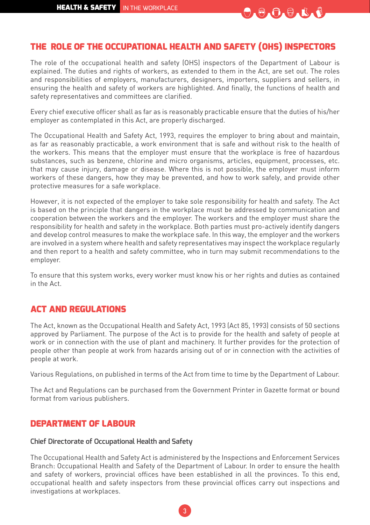

## THE ROLE OF THE OCCUPATIONAL HEALTH AND SAFETY (OHS) INSPECTORS

The role of the occupational health and safety (OHS) inspectors of the Department of Labour is explained. The duties and rights of workers, as extended to them in the Act, are set out. The roles and responsibilities of employers, manufacturers, designers, importers, suppliers and sellers, in ensuring the health and safety of workers are highlighted. And finally, the functions of health and safety representatives and committees are clarified.

Every chief executive officer shall as far as is reasonably practicable ensure that the duties of his/her employer as contemplated in this Act, are properly discharged.

The Occupational Health and Safety Act, 1993, requires the employer to bring about and maintain, as far as reasonably practicable, a work environment that is safe and without risk to the health of the workers. This means that the employer must ensure that the workplace is free of hazardous substances, such as benzene, chlorine and micro organisms, articles, equipment, processes, etc. that may cause injury, damage or disease. Where this is not possible, the employer must inform workers of these dangers, how they may be prevented, and how to work safely, and provide other protective measures for a safe workplace.

However, it is not expected of the employer to take sole responsibility for health and safety. The Act is based on the principle that dangers in the workplace must be addressed by communication and cooperation between the workers and the employer. The workers and the employer must share the responsibility for health and safety in the workplace. Both parties must pro-actively identify dangers and develop control measures to make the workplace safe. In this way, the employer and the workers are involved in a system where health and safety representatives may inspect the workplace regularly and then report to a health and safety committee, who in turn may submit recommendations to the employer.

To ensure that this system works, every worker must know his or her rights and duties as contained in the Act.

#### ACT AND REGULATIONS

The Act, known as the Occupational Health and Safety Act, 1993 (Act 85, 1993) consists of 50 sections approved by Parliament. The purpose of the Act is to provide for the health and safety of people at work or in connection with the use of plant and machinery. It further provides for the protection of people other than people at work from hazards arising out of or in connection with the activities of people at work.

Various Regulations, on published in terms of the Act from time to time by the Department of Labour.

The Act and Regulations can be purchased from the Government Printer in Gazette format or bound format from various publishers.

#### DEPARTMENT OF LABOUR

#### **Chief Directorate of Occupational Health and Safety**

The Occupational Health and Safety Act is administered by the Inspections and Enforcement Services Branch: Occupational Health and Safety of the Department of Labour. In order to ensure the health and safety of workers, provincial offices have been established in all the provinces. To this end, occupational health and safety inspectors from these provincial offices carry out inspections and investigations at workplaces.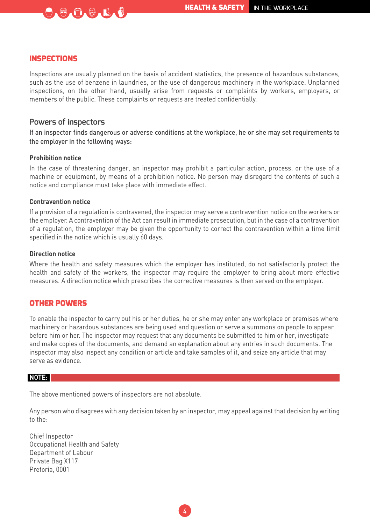#### INSPECTIONS

Inspections are usually planned on the basis of accident statistics, the presence of hazardous substances, such as the use of benzene in laundries, or the use of dangerous machinery in the workplace. Unplanned inspections, on the other hand, usually arise from requests or complaints by workers, employers, or members of the public. These complaints or requests are treated confidentially.

#### **Powers of inspectors**

 $\Theta \bullet \Theta \bullet \Theta \bullet \mathbb{R}$ 

If an inspector finds dangerous or adverse conditions at the workplace, he or she may set requirements to the employer in the following ways:

#### **Prohibition notice**

In the case of threatening danger, an inspector may prohibit a particular action, process, or the use of a machine or equipment, by means of a prohibition notice. No person may disregard the contents of such a notice and compliance must take place with immediate effect.

#### **Contravention notice**

If a provision of a regulation is contravened, the inspector may serve a contravention notice on the workers or the employer. A contravention of the Act can result in immediate prosecution, but in the case of a contravention of a regulation, the employer may be given the opportunity to correct the contravention within a time limit specified in the notice which is usually 60 days.

#### **Direction notice**

Where the health and safety measures which the employer has instituted, do not satisfactorily protect the health and safety of the workers, the inspector may require the employer to bring about more effective measures. A direction notice which prescribes the corrective measures is then served on the employer.

#### OTHER POWERS

To enable the inspector to carry out his or her duties, he or she may enter any workplace or premises where machinery or hazardous substances are being used and question or serve a summons on people to appear before him or her. The inspector may request that any documents be submitted to him or her, investigate and make copies of the documents, and demand an explanation about any entries in such documents. The inspector may also inspect any condition or article and take samples of it, and seize any article that may serve as evidence.

#### **NOTE:**

The above mentioned powers of inspectors are not absolute.

Any person who disagrees with any decision taken by an inspector, may appeal against that decision by writing to the:

Chief Inspector Occupational Health and Safety Department of Labour Private Bag X117 Pretoria, 0001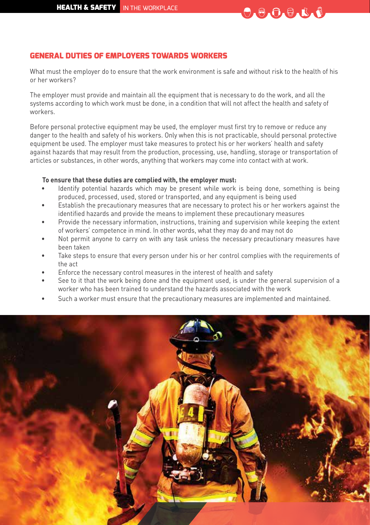

#### GENERAL DUTIES OF EMPLOYERS TOWARDS WORKERS

What must the employer do to ensure that the work environment is safe and without risk to the health of his or her workers?

The employer must provide and maintain all the equipment that is necessary to do the work, and all the systems according to which work must be done, in a condition that will not affect the health and safety of workers.

Before personal protective equipment may be used, the employer must first try to remove or reduce any danger to the health and safety of his workers. Only when this is not practicable, should personal protective equipment be used. The employer must take measures to protect his or her workers' health and safety against hazards that may result from the production, processing, use, handling, storage or transportation of articles or substances, in other words, anything that workers may come into contact with at work.

#### **To ensure that these duties are complied with, the employer must:**

- Identify potential hazards which may be present while work is being done, something is being produced, processed, used, stored or transported, and any equipment is being used
- Establish the precautionary measures that are necessary to protect his or her workers against the identified hazards and provide the means to implement these precautionary measures
- Provide the necessary information, instructions, training and supervision while keeping the extent of workers' competence in mind. In other words, what they may do and may not do
- Not permit anyone to carry on with any task unless the necessary precautionary measures have been taken
- Take steps to ensure that every person under his or her control complies with the requirements of the act
- Enforce the necessary control measures in the interest of health and safety
- See to it that the work being done and the equipment used, is under the general supervision of a worker who has been trained to understand the hazards associated with the work
- Such a worker must ensure that the precautionary measures are implemented and maintained.

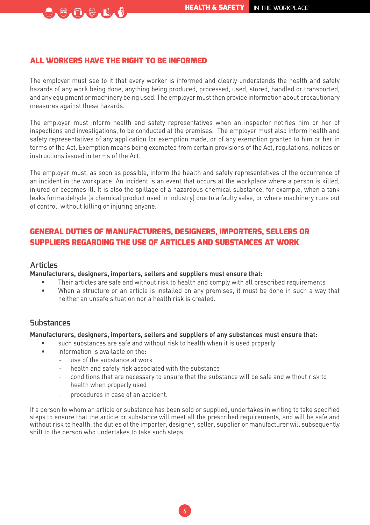#### ALL WORKERS HAVE THE RIGHT TO BE INFORMED

 $\Theta_A \Theta_A \Theta_A \Phi_A \Phi$ 

The employer must see to it that every worker is informed and clearly understands the health and safety hazards of any work being done, anything being produced, processed, used, stored, handled or transported, and any equipment or machinery being used. The employer must then provide information about precautionary measures against these hazards.

The employer must inform health and safety representatives when an inspector notifies him or her of inspections and investigations, to be conducted at the premises. The employer must also inform health and safety representatives of any application for exemption made, or of any exemption granted to him or her in terms of the Act. Exemption means being exempted from certain provisions of the Act, regulations, notices or instructions issued in terms of the Act.

The employer must, as soon as possible, inform the health and safety representatives of the occurrence of an incident in the workplace. An incident is an event that occurs at the workplace where a person is killed, injured or becomes ill. It is also the spillage of a hazardous chemical substance, for example, when a tank leaks formaldehyde (a chemical product used in industry) due to a faulty valve, or where machinery runs out of control, without killing or injuring anyone.

#### GENERAL DUTIES OF MANUFACTURERS, DESIGNERS, IMPORTERS, SELLERS OR SUPPLIERS REGARDING THE USE OF ARTICLES AND SUBSTANCES AT WORK

#### **Articles**

#### **Manufacturers, designers, importers, sellers and suppliers must ensure that:**

- Their articles are safe and without risk to health and comply with all prescribed requirements
- When a structure or an article is installed on any premises, it must be done in such a way that neither an unsafe situation nor a health risk is created.

#### **Substances**

#### **Manufacturers, designers, importers, sellers and suppliers of any substances must ensure that:**

- such substances are safe and without risk to health when it is used properly
	- information is available on the
		- use of the substance at work
		- health and safety risk associated with the substance
		- conditions that are necessary to ensure that the substance will be safe and without risk to health when properly used
		- procedures in case of an accident.

If a person to whom an article or substance has been sold or supplied, undertakes in writing to take specified steps to ensure that the article or substance will meet all the prescribed requirements, and will be safe and without risk to health, the duties of the importer, designer, seller, supplier or manufacturer will subsequently shift to the person who undertakes to take such steps.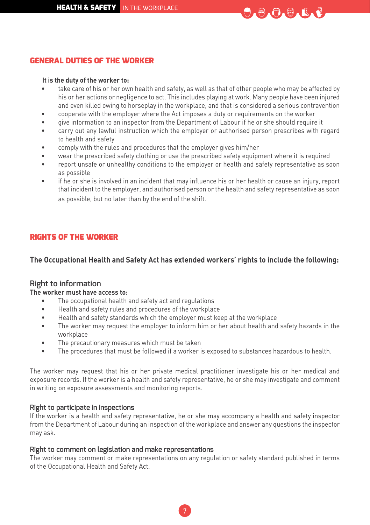

#### GENERAL DUTIES OF THE WORKER

#### **It is the duty of the worker to:**

- take care of his or her own health and safety, as well as that of other people who may be affected by his or her actions or negligence to act. This includes playing at work. Many people have been injured and even killed owing to horseplay in the workplace, and that is considered a serious contravention
- cooperate with the employer where the Act imposes a duty or requirements on the worker
- give information to an inspector from the Department of Labour if he or she should require it
- carry out any lawful instruction which the employer or authorised person prescribes with regard to health and safety
- comply with the rules and procedures that the employer gives him/her
- wear the prescribed safety clothing or use the prescribed safety equipment where it is required
- report unsafe or unhealthy conditions to the employer or health and safety representative as soon as possible
- if he or she is involved in an incident that may influence his or her health or cause an injury, report that incident to the employer, and authorised person or the health and safety representative as soon as possible, but no later than by the end of the shift.

#### RIGHTS OF THE WORKER

#### **The Occupational Health and Safety Act has extended workers' rights to include the following:**

#### **Right to information**

#### **The worker must have access to:**

- The occupational health and safety act and regulations
- Health and safety rules and procedures of the workplace
- Health and safety standards which the employer must keep at the workplace
- The worker may request the employer to inform him or her about health and safety hazards in the workplace
- The precautionary measures which must be taken
- The procedures that must be followed if a worker is exposed to substances hazardous to health.

The worker may request that his or her private medical practitioner investigate his or her medical and exposure records. If the worker is a health and safety representative, he or she may investigate and comment in writing on exposure assessments and monitoring reports.

#### **Right to participate in inspections**

If the worker is a health and safety representative, he or she may accompany a health and safety inspector from the Department of Labour during an inspection of the workplace and answer any questions the inspector may ask.

#### **Right to comment on legislation and make representations**

The worker may comment or make representations on any regulation or safety standard published in terms of the Occupational Health and Safety Act.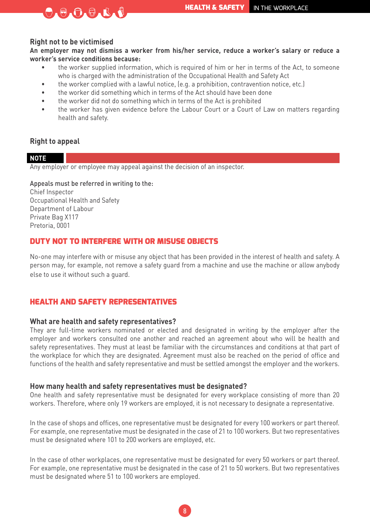#### **Right not to be victimised**

 $\Theta_A \Theta_A \Theta_A \Phi_A \Phi$ 

**An employer may not dismiss a worker from his/her service, reduce a worker's salary or reduce a worker's service conditions because:**

- the worker supplied information, which is required of him or her in terms of the Act, to someone who is charged with the administration of the Occupational Health and Safety Act
- the worker complied with a lawful notice, (e.g. a prohibition, contravention notice, etc.)
- the worker did something which in terms of the Act should have been done
- the worker did not do something which in terms of the Act is prohibited
- the worker has given evidence before the Labour Court or a Court of Law on matters regarding health and safety.

#### **Right to appeal**

#### **NOTE**

Any employer or employee may appeal against the decision of an inspector.

#### Appeals must be referred in writing to the:

Chief Inspector Occupational Health and Safety Department of Labour Private Bag X117 Pretoria, 0001

#### DUTY NOT TO INTERFERE WITH OR MISUSE OBJECTS

No-one may interfere with or misuse any object that has been provided in the interest of health and safety. A person may, for example, not remove a safety guard from a machine and use the machine or allow anybody else to use it without such a guard.

#### HEALTH AND SAFETY REPRESENTATIVES

#### **What are health and safety representatives?**

They are full-time workers nominated or elected and designated in writing by the employer after the employer and workers consulted one another and reached an agreement about who will be health and safety representatives. They must at least be familiar with the circumstances and conditions at that part of the workplace for which they are designated. Agreement must also be reached on the period of office and functions of the health and safety representative and must be settled amongst the employer and the workers.

#### **How many health and safety representatives must be designated?**

One health and safety representative must be designated for every workplace consisting of more than 20 workers. Therefore, where only 19 workers are employed, it is not necessary to designate a representative.

In the case of shops and offices, one representative must be designated for every 100 workers or part thereof. For example, one representative must be designated in the case of 21 to 100 workers. But two representatives must be designated where 101 to 200 workers are employed, etc.

In the case of other workplaces, one representative must be designated for every 50 workers or part thereof. For example, one representative must be designated in the case of 21 to 50 workers. But two representatives must be designated where 51 to 100 workers are employed.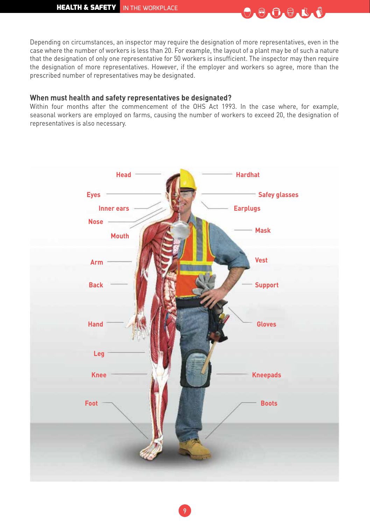

Depending on circumstances, an inspector may require the designation of more representatives, even in the case where the number of workers is less than 20. For example, the layout of a plant may be of such a nature that the designation of only one representative for 50 workers is insufficient. The inspector may then require the designation of more representatives. However, if the employer and workers so agree, more than the prescribed number of representatives may be designated.

#### **When must health and safety representatives be designated?**

Within four months after the commencement of the OHS Act 1993. In the case where, for example, seasonal workers are employed on farms, causing the number of workers to exceed 20, the designation of representatives is also necessary.

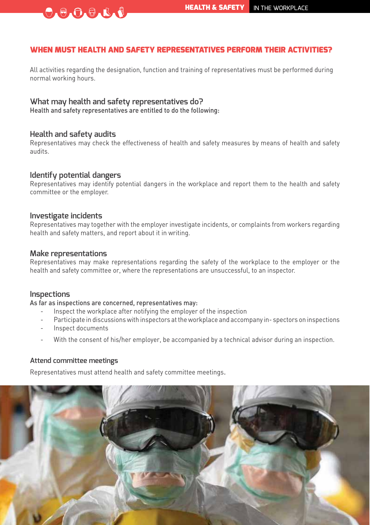#### WHEN MUST HEALTH AND SAFETY REPRESENTATIVES PERFORM THEIR ACTIVITIES?

All activities regarding the designation, function and training of representatives must be performed during normal working hours.

#### **What may health and safety representatives do?**

Health and safety representatives are entitled to do the following:

#### **Health and safety audits**

 $\begin{bmatrix} 0 & 0 & 0 & 0 & 0 & 0 \\ 0 & 0 & 0 & 0 & 0 & 0 \\ 0 & 0 & 0 & 0 & 0 & 0 \\ 0 & 0 & 0 & 0 & 0 & 0 \\ 0 & 0 & 0 & 0 & 0 & 0 & 0 \\ 0 & 0 & 0 & 0 & 0 & 0 & 0 \\ 0 & 0 & 0 & 0 & 0 & 0 & 0 \\ 0 & 0 & 0 & 0 & 0 & 0 & 0 & 0 \\ 0 & 0 & 0 & 0 & 0 & 0 & 0 & 0 \\ 0 & 0 & 0 & 0 & 0 & 0 & 0 & 0 \\ 0 & 0 &$ 

Representatives may check the effectiveness of health and safety measures by means of health and safety audits.

#### **Identify potential dangers**

Representatives may identify potential dangers in the workplace and report them to the health and safety committee or the employer.

#### **Investigate incidents**

Representatives may together with the employer investigate incidents, or complaints from workers regarding health and safety matters, and report about it in writing.

#### **Make representations**

Representatives may make representations regarding the safety of the workplace to the employer or the health and safety committee or, where the representations are unsuccessful, to an inspector.

#### **Inspections**

As far as inspections are concerned, representatives may:

- Inspect the workplace after notifying the employer of the inspection
- Participate in discussions with inspectors at the workplace and accompany in- spectors on inspections
- Inspect documents
- With the consent of his/her employer, be accompanied by a technical advisor during an inspection.

#### **Attend committee meetings**

Representatives must attend health and safety committee meetings.

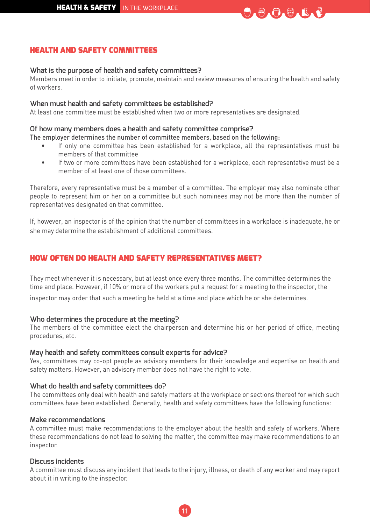

#### HEALTH AND SAFETY COMMITTEES

#### **What is the purpose of health and safety committees?**

Members meet in order to initiate, promote, maintain and review measures of ensuring the health and safety of workers.

#### **When must health and safety committees be established?**

At least one committee must be established when two or more representatives are designated.

#### **Of how many members does a health and safety committee comprise?**

The employer determines the number of committee members, based on the following:

- If only one committee has been established for a workplace, all the representatives must be members of that committee
- If two or more committees have been established for a workplace, each representative must be a member of at least one of those committees.

Therefore, every representative must be a member of a committee. The employer may also nominate other people to represent him or her on a committee but such nominees may not be more than the number of representatives designated on that committee.

If, however, an inspector is of the opinion that the number of committees in a workplace is inadequate, he or she may determine the establishment of additional committees.

#### HOW OFTEN DO HEALTH AND SAFETY REPRESENTATIVES MEET?

They meet whenever it is necessary, but at least once every three months. The committee determines the time and place. However, if 10% or more of the workers put a request for a meeting to the inspector, the

inspector may order that such a meeting be held at a time and place which he or she determines.

#### **Who determines the procedure at the meeting?**

The members of the committee elect the chairperson and determine his or her period of office, meeting procedures, etc.

#### **May health and safety committees consult experts for advice?**

Yes, committees may co-opt people as advisory members for their knowledge and expertise on health and safety matters. However, an advisory member does not have the right to vote.

#### **What do health and safety committees do?**

The committees only deal with health and safety matters at the workplace or sections thereof for which such committees have been established. Generally, health and safety committees have the following functions:

#### **Make recommendations**

A committee must make recommendations to the employer about the health and safety of workers. Where these recommendations do not lead to solving the matter, the committee may make recommendations to an inspector.

#### **Discuss incidents**

A committee must discuss any incident that leads to the injury, illness, or death of any worker and may report about it in writing to the inspector.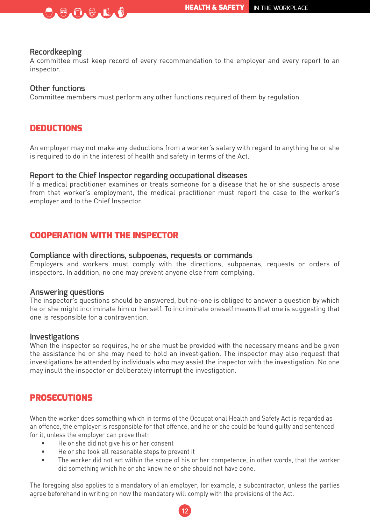

**Recordkeeping**<br>A committee must keep record of every recommendation to the employer and every report to an inspector.

#### **Other functions**

Committee members must perform any other functions required of them by regulation.

#### **DEDUCTIONS**

An employer may not make any deductions from a worker's salary with regard to anything he or she is required to do in the interest of health and safety in terms of the Act.

#### **Report to the Chief Inspector regarding occupational diseases**

If a medical practitioner examines or treats someone for a disease that he or she suspects arose from that worker's employment, the medical practitioner must report the case to the worker's employer and to the Chief Inspector.

#### COOPERATION WITH THE INSPECTOR

#### **Compliance with directions, subpoenas, requests or commands**

Employers and workers must comply with the directions, subpoenas, requests or orders of inspectors. In addition, no one may prevent anyone else from complying.

**Answering questions**<br>The inspector's questions should be answered, but no-one is obliged to answer a question by which he or she might incriminate him or herself. To incriminate oneself means that one is suggesting that one is responsible for a contravention.

#### **Investigations**

When the inspector so requires, he or she must be provided with the necessary means and be given the assistance he or she may need to hold an investigation. The inspector may also request that investigations be attended by individuals who may assist the inspector with the investigation. No one may insult the inspector or deliberately interrupt the investigation.

#### **PROSECUTIONS**

When the worker does something which in terms of the Occupational Health and Safety Act is regarded as an offence, the employer is responsible for that offence, and he or she could be found guilty and sentenced for it, unless the employer can prove that:

- He or she did not give his or her consent
- He or she took all reasonable steps to prevent it
- The worker did not act within the scope of his or her competence, in other words, that the worker did something which he or she knew he or she should not have done.

The foregoing also applies to a mandatory of an employer, for example, a subcontractor, unless the parties agree beforehand in writing on how the mandatory will comply with the provisions of the Act.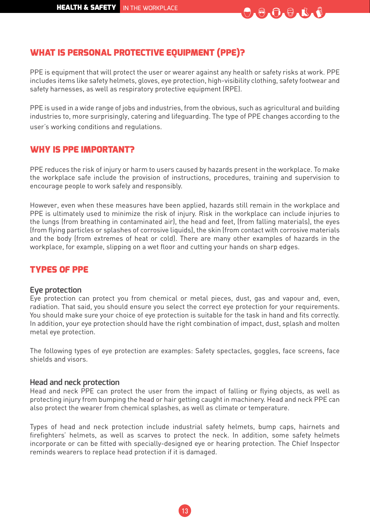

### WHAT IS PERSONAL PROTECTIVE EOUIPMENT (PPE)?

PPE is equipment that will protect the user or wearer against any health or safety risks at work. PPE includes items like safety helmets, gloves, eye protection, high-visibility clothing, safety footwear and safety harnesses, as well as respiratory protective equipment (RPE).

PPE is used in a wide range of jobs and industries, from the obvious, such as agricultural and building industries to, more surprisingly, catering and lifeguarding. The type of PPE changes according to the user's working conditions and regulations.

#### WHY IS PPE IMPORTANT?

PPE reduces the risk of injury or harm to users caused by hazards present in the workplace. To make the workplace safe include the provision of instructions, procedures, training and supervision to encourage people to work safely and responsibly.

However, even when these measures have been applied, hazards still remain in the workplace and PPE is ultimately used to minimize the risk of injury. Risk in the workplace can include injuries to the lungs (from breathing in contaminated air), the head and feet, (from falling materials), the eyes (from flying particles or splashes of corrosive liquids), the skin (from contact with corrosive materials and the body (from extremes of heat or cold). There are many other examples of hazards in the workplace, for example, slipping on a wet floor and cutting your hands on sharp edges.

#### TYPES OF PPE

#### **Eye protection**

Eye protection can protect you from chemical or metal pieces, dust, gas and vapour and, even, radiation. That said, you should ensure you select the correct eye protection for your requirements. You should make sure your choice of eye protection is suitable for the task in hand and fits correctly. In addition, your eye protection should have the right combination of impact, dust, splash and molten metal eye protection.

The following types of eye protection are examples: Safety spectacles, goggles, face screens, face shields and visors.

#### **Head and neck protection**

Head and neck PPE can protect the user from the impact of falling or flying objects, as well as protecting injury from bumping the head or hair getting caught in machinery. Head and neck PPE can also protect the wearer from chemical splashes, as well as climate or temperature.

Types of head and neck protection include industrial safety helmets, bump caps, hairnets and firefighters' helmets, as well as scarves to protect the neck. In addition, some safety helmets incorporate or can be fitted with specially-designed eye or hearing protection. The Chief Inspector reminds wearers to replace head protection if it is damaged.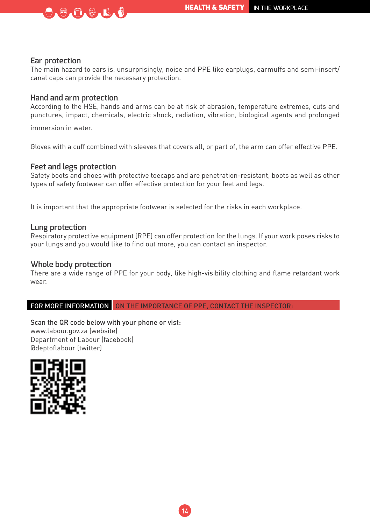#### **Ear protection**

The main hazard to ears is, unsurprisingly, noise and PPE like earplugs, earmuffs and semi-insert/ canal caps can provide the necessary protection.

#### **Hand and arm protection**

 $\Theta \bullet \Theta \bullet \Theta \bullet \mathbb{R}$ 

According to the HSE, hands and arms can be at risk of abrasion, temperature extremes, cuts and punctures, impact, chemicals, electric shock, radiation, vibration, biological agents and prolonged

immersion in water.

Gloves with a cuff combined with sleeves that covers all, or part of, the arm can offer effective PPE.

#### **Feet and legs protection**

Safety boots and shoes with protective toecaps and are penetration-resistant, boots as well as other types of safety footwear can offer effective protection for your feet and legs.

It is important that the appropriate footwear is selected for the risks in each workplace.

#### **Lung protection**

Respiratory protective equipment (RPE) can offer protection for the lungs. If your work poses risks to your lungs and you would like to find out more, you can contact an inspector.

#### **Whole body protection**

There are a wide range of PPE for your body, like high-visibility clothing and flame retardant work wear.

FOR MORE INFORMATION ON THE IMPORTANCE OF PPE, CONTACT THE INSPECTOR:

Scan the QR code below with your phone or vist: www.labour.gov.za (website) Department of Labour (facebook) @deptoflabour (twitter)

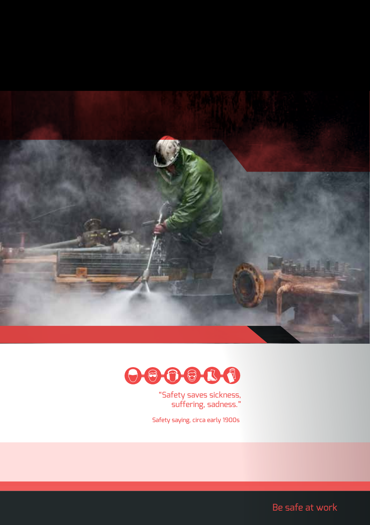



"Safety saves sickness, suffering, sadness."

Safety saying, circa early 1900s

Be safe at work